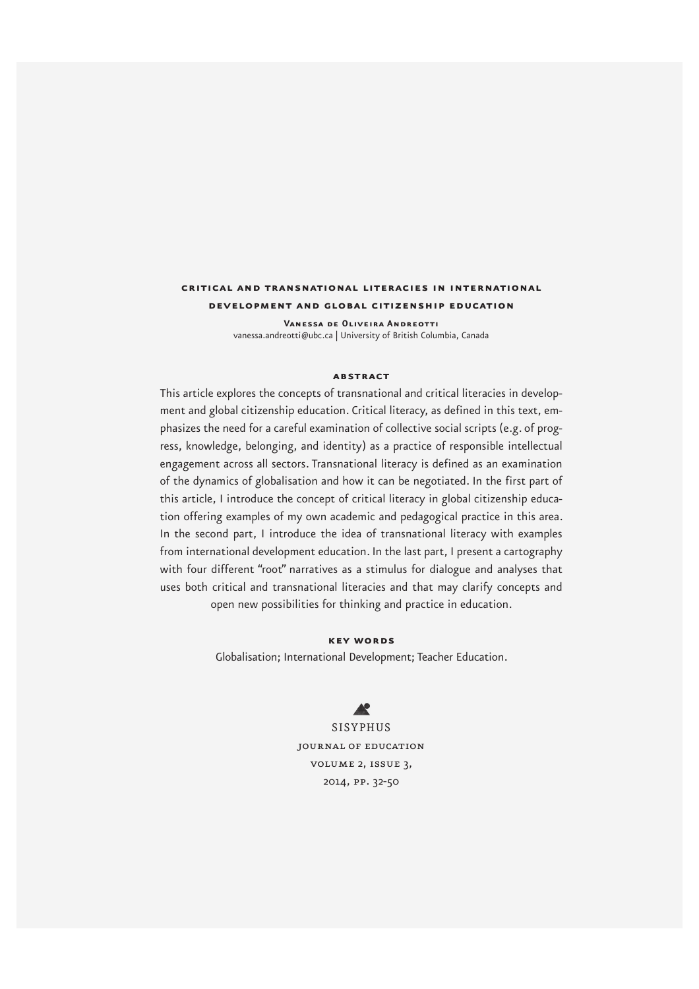#### **critical and transnational literacies in international development and global citizenship education**

**Vanessa de Oliveira Andreotti** vanessa.andreotti@ubc.ca | University of British Columbia, Canada

#### **abstract**

This article explores the concepts of transnational and critical literacies in development and global citizenship education. Critical literacy, as defined in this text, emphasizes the need for a careful examination of collective social scripts (e.g. of progress, knowledge, belonging, and identity) as a practice of responsible intellectual engagement across all sectors. Transnational literacy is defined as an examination of the dynamics of globalisation and how it can be negotiated. In the first part of this article, I introduce the concept of critical literacy in global citizenship education offering examples of my own academic and pedagogical practice in this area. In the second part, I introduce the idea of transnational literacy with examples from international development education. In the last part, I present a cartography with four different "root" narratives as a stimulus for dialogue and analyses that uses both critical and transnational literacies and that may clarify concepts and open new possibilities for thinking and practice in education.

#### **key words**

Globalisation; International Development; Teacher Education.

 $\blacktriangle$ 

SISYPHUS journal of education volume 2, issue 3, 2014, pp. 32-50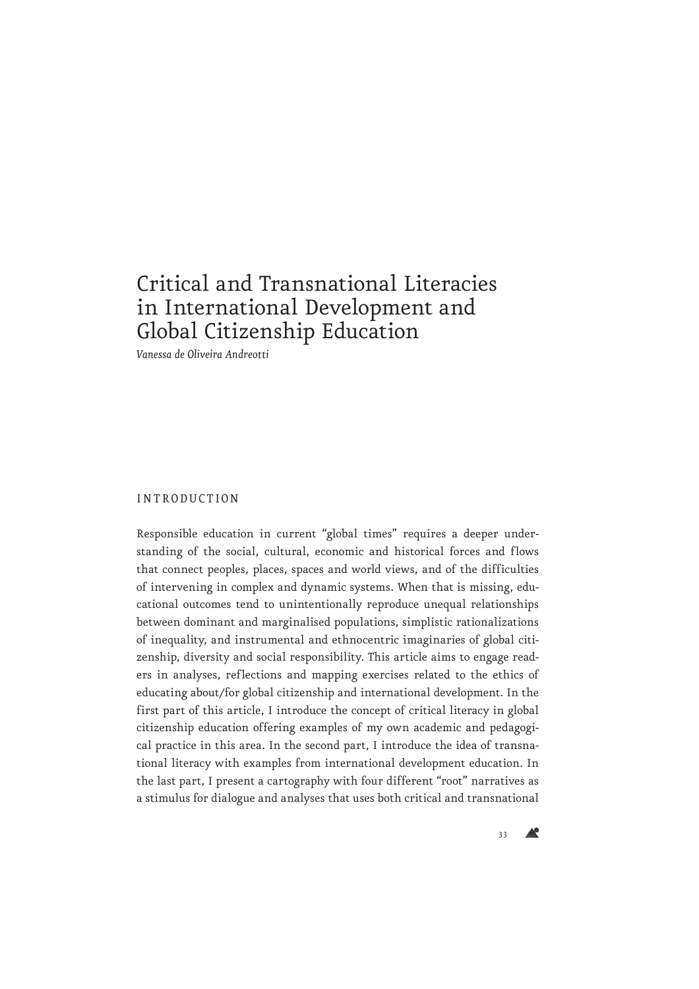# Critical and Transnational Literacies in International Development and Global Citizenship Education

*Vanessa de Oliveira Andreotti* 

## INTRODUCTION

Responsible education in current "global times" requires a deeper understanding of the social, cultural, economic and historical forces and flows that connect peoples, places, spaces and world views, and of the difficulties of intervening in complex and dynamic systems. When that is missing, educational outcomes tend to unintentionally reproduce unequal relationships between dominant and marginalised populations, simplistic rationalizations of inequality, and instrumental and ethnocentric imaginaries of global citizenship, diversity and social responsibility. This article aims to engage readers in analyses, reflections and mapping exercises related to the ethics of educating about/for global citizenship and international development. In the first part of this article, I introduce the concept of critical literacy in global citizenship education offering examples of my own academic and pedagogical practice in this area. In the second part, I introduce the idea of transnational literacy with examples from international development education. In the last part, I present a cartography with four different "root" narratives as a stimulus for dialogue and analyses that uses both critical and transnational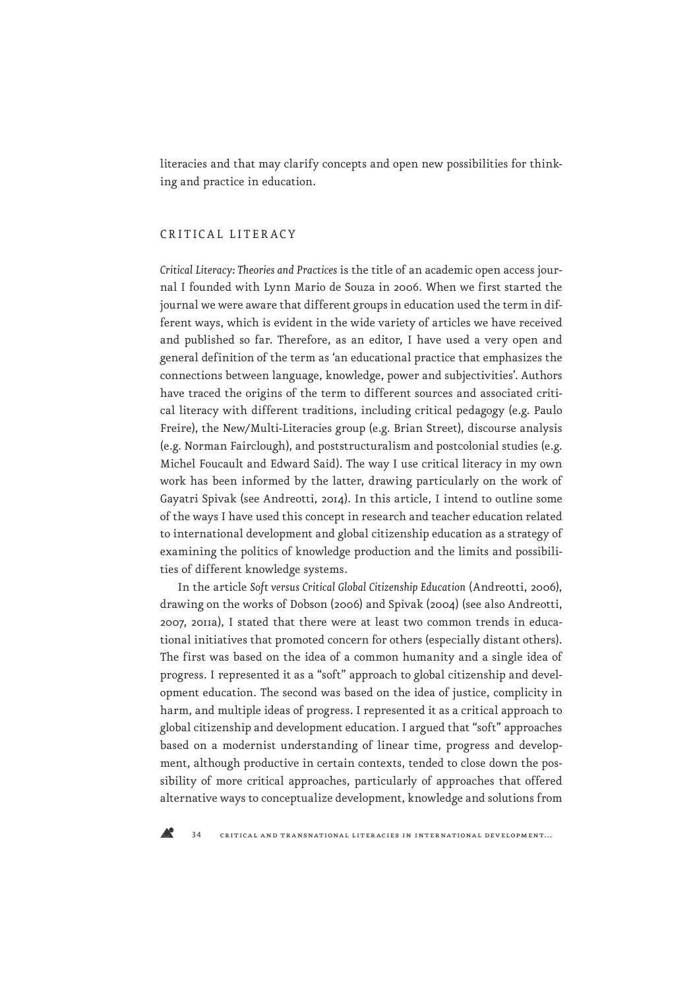literacies and that may clarify concepts and open new possibilities for thinking and practice in education.

#### CRITICAL LITERACY

*Critical Literacy: Theories and Practices* is the title of an academic open access journal I founded with Lynn Mario de Souza in 2006. When we first started the journal we were aware that different groups in education used the term in different ways, which is evident in the wide variety of articles we have received and published so far. Therefore, as an editor, I have used a very open and general definition of the term as 'an educational practice that emphasizes the connections between language, knowledge, power and subjectivities'. Authors have traced the origins of the term to different sources and associated critical literacy with different traditions, including critical pedagogy (e.g. Paulo Freire), the New/Multi-Literacies group (e.g. Brian Street), discourse analysis (e.g. Norman Fairclough), and poststructuralism and postcolonial studies (e.g. Michel Foucault and Edward Said). The way I use critical literacy in my own work has been informed by the latter, drawing particularly on the work of Gayatri Spivak (see Andreotti, 2014). In this article, I intend to outline some of the ways I have used this concept in research and teacher education related to international development and global citizenship education as a strategy of examining the politics of knowledge production and the limits and possibilities of different knowledge systems.

In the article *Soft versus Critical Global Citizenship Education* (Andreotti, 2006), drawing on the works of Dobson (2006) and Spivak (2004) (see also Andreotti, 2007, 2011a), I stated that there were at least two common trends in educational initiatives that promoted concern for others (especially distant others). The first was based on the idea of a common humanity and a single idea of progress. I represented it as a "soft" approach to global citizenship and development education. The second was based on the idea of justice, complicity in harm, and multiple ideas of progress. I represented it as a critical approach to global citizenship and development education. I argued that "soft" approaches based on a modernist understanding of linear time, progress and development, although productive in certain contexts, tended to close down the possibility of more critical approaches, particularly of approaches that offered alternative ways to conceptualize development, knowledge and solutions from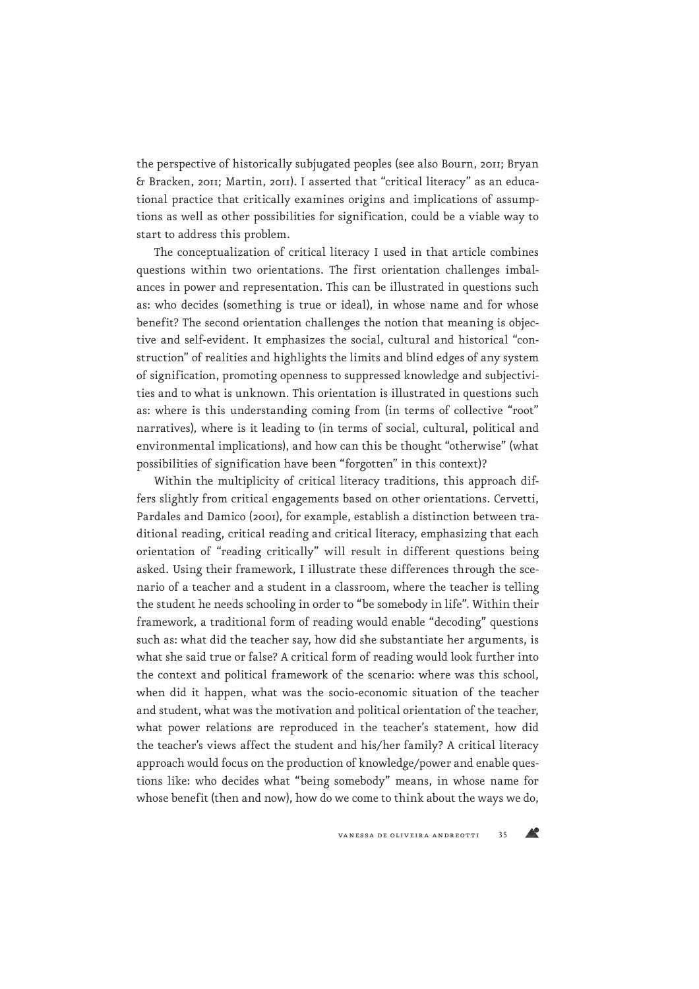the perspective of historically subjugated peoples (see also Bourn, 2011; Bryan & Bracken, 2011; Martin, 2011). I asserted that "critical literacy" as an educational practice that critically examines origins and implications of assumptions as well as other possibilities for signification, could be a viable way to start to address this problem.

The conceptualization of critical literacy I used in that article combines questions within two orientations. The first orientation challenges imbalances in power and representation. This can be illustrated in questions such as: who decides (something is true or ideal), in whose name and for whose benefit? The second orientation challenges the notion that meaning is objective and self-evident. It emphasizes the social, cultural and historical "construction" of realities and highlights the limits and blind edges of any system of signification, promoting openness to suppressed knowledge and subjectivities and to what is unknown. This orientation is illustrated in questions such as: where is this understanding coming from (in terms of collective "root" narratives), where is it leading to (in terms of social, cultural, political and environmental implications), and how can this be thought "otherwise" (what possibilities of signification have been "forgotten" in this context)?

Within the multiplicity of critical literacy traditions, this approach differs slightly from critical engagements based on other orientations. Cervetti, Pardales and Damico (2001), for example, establish a distinction between traditional reading, critical reading and critical literacy, emphasizing that each orientation of "reading critically" will result in different questions being asked. Using their framework, I illustrate these differences through the scenario of a teacher and a student in a classroom, where the teacher is telling the student he needs schooling in order to "be somebody in life". Within their framework, a traditional form of reading would enable "decoding" questions such as: what did the teacher say, how did she substantiate her arguments, is what she said true or false? A critical form of reading would look further into the context and political framework of the scenario: where was this school, when did it happen, what was the socio-economic situation of the teacher and student, what was the motivation and political orientation of the teacher, what power relations are reproduced in the teacher's statement, how did the teacher's views affect the student and his/her family? A critical literacy approach would focus on the production of knowledge/power and enable questions like: who decides what "being somebody" means, in whose name for whose benefit (then and now), how do we come to think about the ways we do,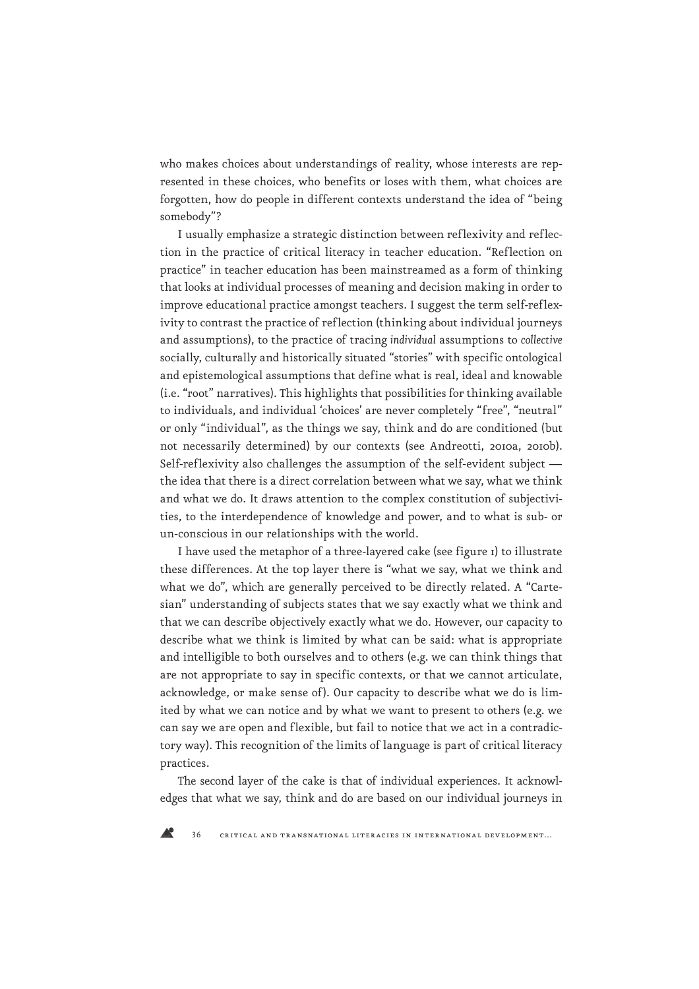who makes choices about understandings of reality, whose interests are represented in these choices, who benefits or loses with them, what choices are forgotten, how do people in different contexts understand the idea of "being somebody"?

I usually emphasize a strategic distinction between reflexivity and reflection in the practice of critical literacy in teacher education. "Reflection on practice" in teacher education has been mainstreamed as a form of thinking that looks at individual processes of meaning and decision making in order to improve educational practice amongst teachers. I suggest the term self-reflexivity to contrast the practice of reflection (thinking about individual journeys and assumptions), to the practice of tracing *individual* assumptions to *collective* socially, culturally and historically situated "stories" with specific ontological and epistemological assumptions that define what is real, ideal and knowable (i.e. "root" narratives). This highlights that possibilities for thinking available to individuals, and individual 'choices' are never completely "free", "neutral" or only "individual", as the things we say, think and do are conditioned (but not necessarily determined) by our contexts (see Andreotti, 2010a, 2010b). Self-reflexivity also challenges the assumption of the self-evident subject the idea that there is a direct correlation between what we say, what we think and what we do. It draws attention to the complex constitution of subjectivities, to the interdependence of knowledge and power, and to what is sub- or un-conscious in our relationships with the world.

I have used the metaphor of a three-layered cake (see figure 1) to illustrate these differences. At the top layer there is "what we say, what we think and what we do", which are generally perceived to be directly related. A "Cartesian" understanding of subjects states that we say exactly what we think and that we can describe objectively exactly what we do. However, our capacity to describe what we think is limited by what can be said: what is appropriate and intelligible to both ourselves and to others (e.g. we can think things that are not appropriate to say in specific contexts, or that we cannot articulate, acknowledge, or make sense of). Our capacity to describe what we do is limited by what we can notice and by what we want to present to others (e.g. we can say we are open and flexible, but fail to notice that we act in a contradictory way). This recognition of the limits of language is part of critical literacy practices.

The second layer of the cake is that of individual experiences. It acknowledges that what we say, think and do are based on our individual journeys in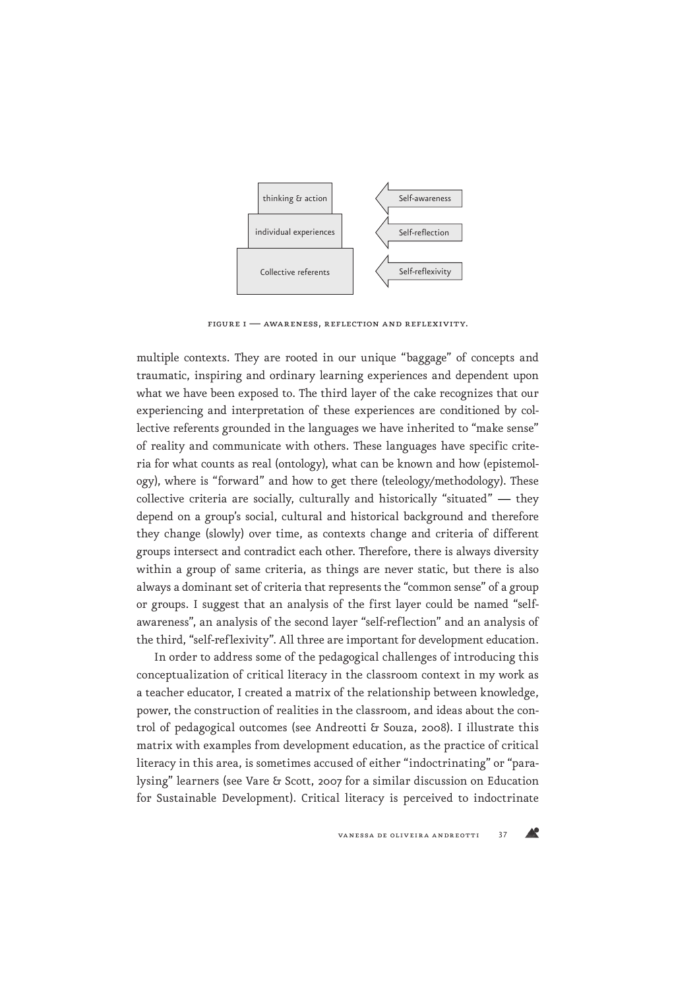

figure 1 — awareness, reflection and reflexivity.

multiple contexts. They are rooted in our unique "baggage" of concepts and traumatic, inspiring and ordinary learning experiences and dependent upon what we have been exposed to. The third layer of the cake recognizes that our experiencing and interpretation of these experiences are conditioned by collective referents grounded in the languages we have inherited to "make sense" of reality and communicate with others. These languages have specific criteria for what counts as real (ontology), what can be known and how (epistemology), where is "forward" and how to get there (teleology/methodology). These collective criteria are socially, culturally and historically "situated" — they depend on a group's social, cultural and historical background and therefore they change (slowly) over time, as contexts change and criteria of different groups intersect and contradict each other. Therefore, there is always diversity within a group of same criteria, as things are never static, but there is also always a dominant set of criteria that represents the "common sense" of a group or groups. I suggest that an analysis of the first layer could be named "selfawareness", an analysis of the second layer "self-reflection" and an analysis of the third, "self-reflexivity". All three are important for development education.

In order to address some of the pedagogical challenges of introducing this conceptualization of critical literacy in the classroom context in my work as a teacher educator, I created a matrix of the relationship between knowledge, power, the construction of realities in the classroom, and ideas about the control of pedagogical outcomes (see Andreotti & Souza, 2008). I illustrate this matrix with examples from development education, as the practice of critical literacy in this area, is sometimes accused of either "indoctrinating" or "paralysing" learners (see Vare & Scott, 2007 for a similar discussion on Education for Sustainable Development). Critical literacy is perceived to indoctrinate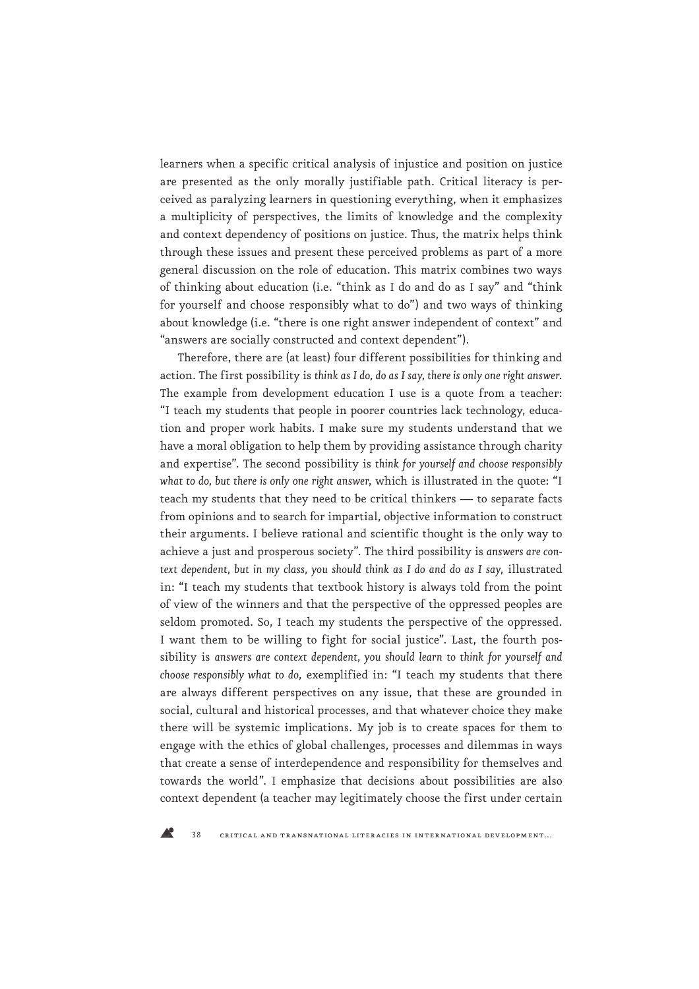learners when a specific critical analysis of injustice and position on justice are presented as the only morally justifiable path. Critical literacy is perceived as paralyzing learners in questioning everything, when it emphasizes a multiplicity of perspectives, the limits of knowledge and the complexity and context dependency of positions on justice. Thus, the matrix helps think through these issues and present these perceived problems as part of a more general discussion on the role of education. This matrix combines two ways of thinking about education (i.e. "think as I do and do as I say" and "think for yourself and choose responsibly what to do") and two ways of thinking about knowledge (i.e. "there is one right answer independent of context" and "answers are socially constructed and context dependent").

Therefore, there are (at least) four different possibilities for thinking and action. The first possibility is *think as I do, do as I say, there is only one right answer*. The example from development education I use is a quote from a teacher: "I teach my students that people in poorer countries lack technology, education and proper work habits. I make sure my students understand that we have a moral obligation to help them by providing assistance through charity and expertise". The second possibility is *think for yourself and choose responsibly what to do, but there is only one right answer*, which is illustrated in the quote: "I teach my students that they need to be critical thinkers — to separate facts from opinions and to search for impartial, objective information to construct their arguments. I believe rational and scientific thought is the only way to achieve a just and prosperous society". The third possibility is *answers are context dependent, but in my class, you should think as I do and do as I say*, illustrated in: "I teach my students that textbook history is always told from the point of view of the winners and that the perspective of the oppressed peoples are seldom promoted. So, I teach my students the perspective of the oppressed. I want them to be willing to fight for social justice". Last, the fourth possibility is *answers are context dependent, you should learn to think for yourself and choose responsibly what to do*, exemplified in: "I teach my students that there are always different perspectives on any issue, that these are grounded in social, cultural and historical processes, and that whatever choice they make there will be systemic implications. My job is to create spaces for them to engage with the ethics of global challenges, processes and dilemmas in ways that create a sense of interdependence and responsibility for themselves and towards the world". I emphasize that decisions about possibilities are also context dependent (a teacher may legitimately choose the first under certain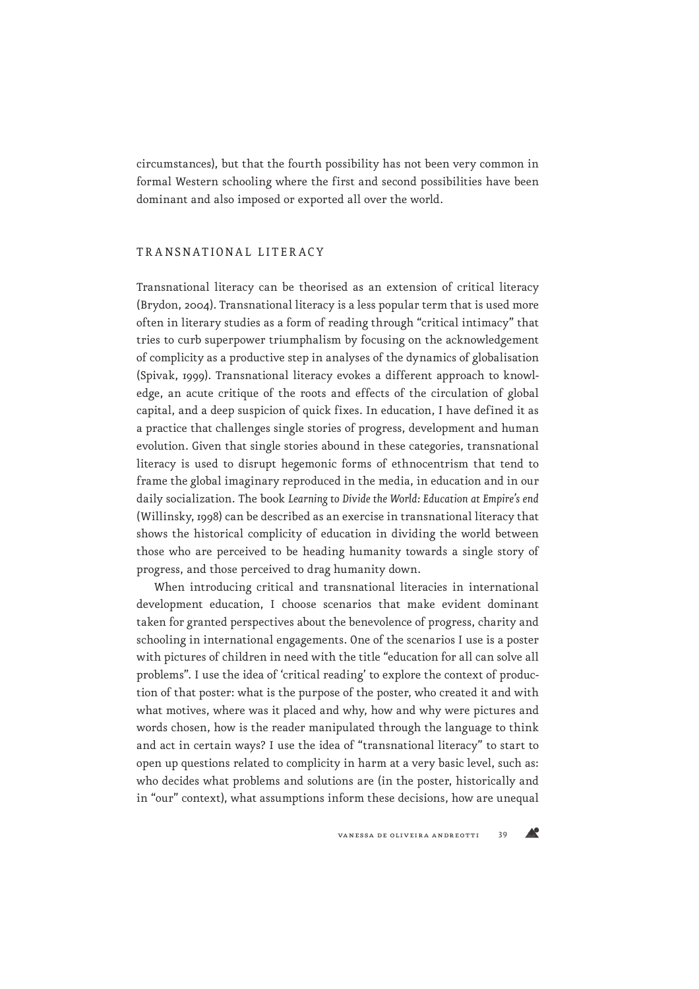circumstances), but that the fourth possibility has not been very common in formal Western schooling where the first and second possibilities have been dominant and also imposed or exported all over the world.

### TRANSNATIONAL LITERACY

Transnational literacy can be theorised as an extension of critical literacy (Brydon, 2004). Transnational literacy is a less popular term that is used more often in literary studies as a form of reading through "critical intimacy" that tries to curb superpower triumphalism by focusing on the acknowledgement of complicity as a productive step in analyses of the dynamics of globalisation (Spivak, 1999). Transnational literacy evokes a different approach to knowledge, an acute critique of the roots and effects of the circulation of global capital, and a deep suspicion of quick fixes. In education, I have defined it as a practice that challenges single stories of progress, development and human evolution. Given that single stories abound in these categories, transnational literacy is used to disrupt hegemonic forms of ethnocentrism that tend to frame the global imaginary reproduced in the media, in education and in our daily socialization. The book *Learning to Divide the World: Education at Empire's end* (Willinsky, 1998) can be described as an exercise in transnational literacy that shows the historical complicity of education in dividing the world between those who are perceived to be heading humanity towards a single story of progress, and those perceived to drag humanity down.

When introducing critical and transnational literacies in international development education, I choose scenarios that make evident dominant taken for granted perspectives about the benevolence of progress, charity and schooling in international engagements. One of the scenarios I use is a poster with pictures of children in need with the title "education for all can solve all problems". I use the idea of 'critical reading' to explore the context of production of that poster: what is the purpose of the poster, who created it and with what motives, where was it placed and why, how and why were pictures and words chosen, how is the reader manipulated through the language to think and act in certain ways? I use the idea of "transnational literacy" to start to open up questions related to complicity in harm at a very basic level, such as: who decides what problems and solutions are (in the poster, historically and in "our" context), what assumptions inform these decisions, how are unequal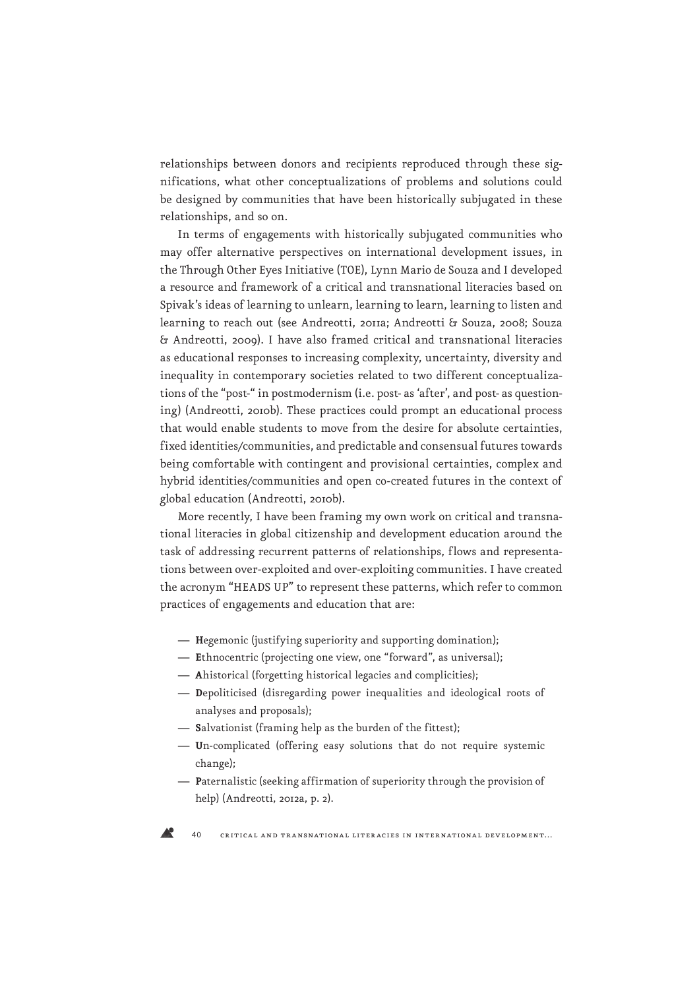relationships between donors and recipients reproduced through these significations, what other conceptualizations of problems and solutions could be designed by communities that have been historically subjugated in these relationships, and so on.

In terms of engagements with historically subjugated communities who may offer alternative perspectives on international development issues, in the Through Other Eyes Initiative (TOE), Lynn Mario de Souza and I developed a resource and framework of a critical and transnational literacies based on Spivak's ideas of learning to unlearn, learning to learn, learning to listen and learning to reach out (see Andreotti, 2011a; Andreotti & Souza, 2008; Souza & Andreotti, 2009). I have also framed critical and transnational literacies as educational responses to increasing complexity, uncertainty, diversity and inequality in contemporary societies related to two different conceptualizations of the "post-" in postmodernism (i.e. post- as 'after', and post- as questioning) (Andreotti, 2010b). These practices could prompt an educational process that would enable students to move from the desire for absolute certainties, fixed identities/communities, and predictable and consensual futures towards being comfortable with contingent and provisional certainties, complex and hybrid identities/communities and open co-created futures in the context of global education (Andreotti, 2010b).

More recently, I have been framing my own work on critical and transnational literacies in global citizenship and development education around the task of addressing recurrent patterns of relationships, flows and representations between over-exploited and over-exploiting communities. I have created the acronym "HEADS UP" to represent these patterns, which refer to common practices of engagements and education that are:

- **H**egemonic (justifying superiority and supporting domination);
- **E**thnocentric (projecting one view, one "forward", as universal);
- **A**historical (forgetting historical legacies and complicities);
- **D**epoliticised (disregarding power inequalities and ideological roots of analyses and proposals);
- **S**alvationist (framing help as the burden of the fittest);
- **U**n-complicated (offering easy solutions that do not require systemic change);
- **P**aternalistic (seeking affirmation of superiority through the provision of help) (Andreotti, 2012a, p. 2).

40 critical and transnational literacies in international development…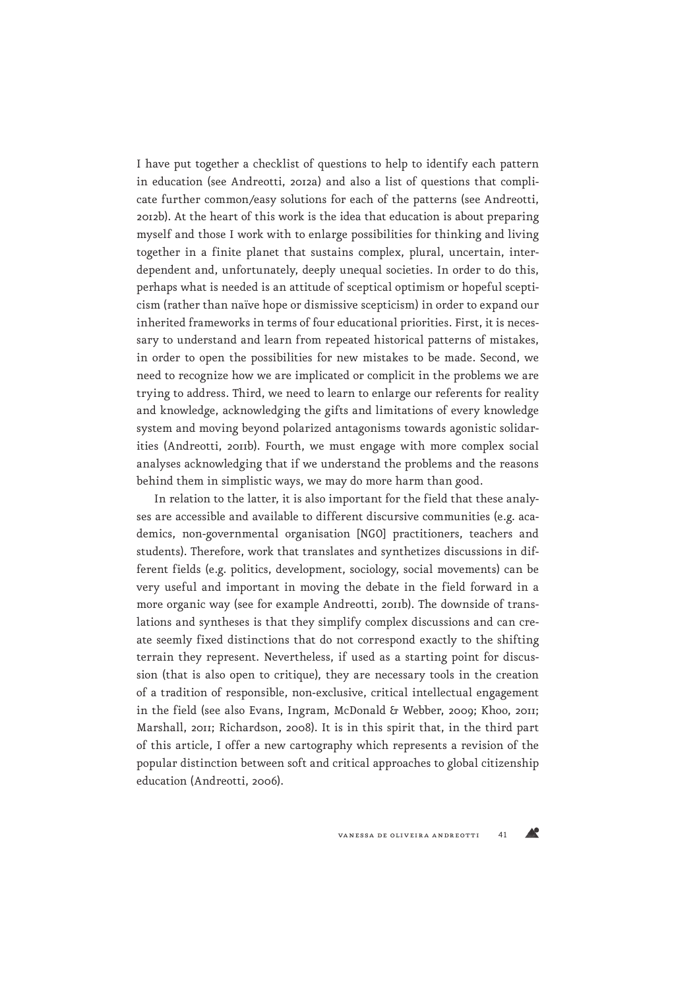I have put together a checklist of questions to help to identify each pattern in education (see Andreotti, 2012a) and also a list of questions that complicate further common/easy solutions for each of the patterns (see Andreotti, 2012b). At the heart of this work is the idea that education is about preparing myself and those I work with to enlarge possibilities for thinking and living together in a finite planet that sustains complex, plural, uncertain, interdependent and, unfortunately, deeply unequal societies. In order to do this, perhaps what is needed is an attitude of sceptical optimism or hopeful scepticism (rather than naïve hope or dismissive scepticism) in order to expand our inherited frameworks in terms of four educational priorities. First, it is necessary to understand and learn from repeated historical patterns of mistakes, in order to open the possibilities for new mistakes to be made. Second, we need to recognize how we are implicated or complicit in the problems we are trying to address. Third, we need to learn to enlarge our referents for reality and knowledge, acknowledging the gifts and limitations of every knowledge system and moving beyond polarized antagonisms towards agonistic solidarities (Andreotti, 2011b). Fourth, we must engage with more complex social analyses acknowledging that if we understand the problems and the reasons behind them in simplistic ways, we may do more harm than good.

In relation to the latter, it is also important for the field that these analyses are accessible and available to different discursive communities (e.g. academics, non-governmental organisation [NGO] practitioners, teachers and students). Therefore, work that translates and synthetizes discussions in different fields (e.g. politics, development, sociology, social movements) can be very useful and important in moving the debate in the field forward in a more organic way (see for example Andreotti, 2011b). The downside of translations and syntheses is that they simplify complex discussions and can create seemly fixed distinctions that do not correspond exactly to the shifting terrain they represent. Nevertheless, if used as a starting point for discussion (that is also open to critique), they are necessary tools in the creation of a tradition of responsible, non-exclusive, critical intellectual engagement in the field (see also Evans, Ingram, McDonald & Webber, 2009; Khoo, 2011; Marshall, 2011; Richardson, 2008). It is in this spirit that, in the third part of this article, I offer a new cartography which represents a revision of the popular distinction between soft and critical approaches to global citizenship education (Andreotti, 2006).

**AP**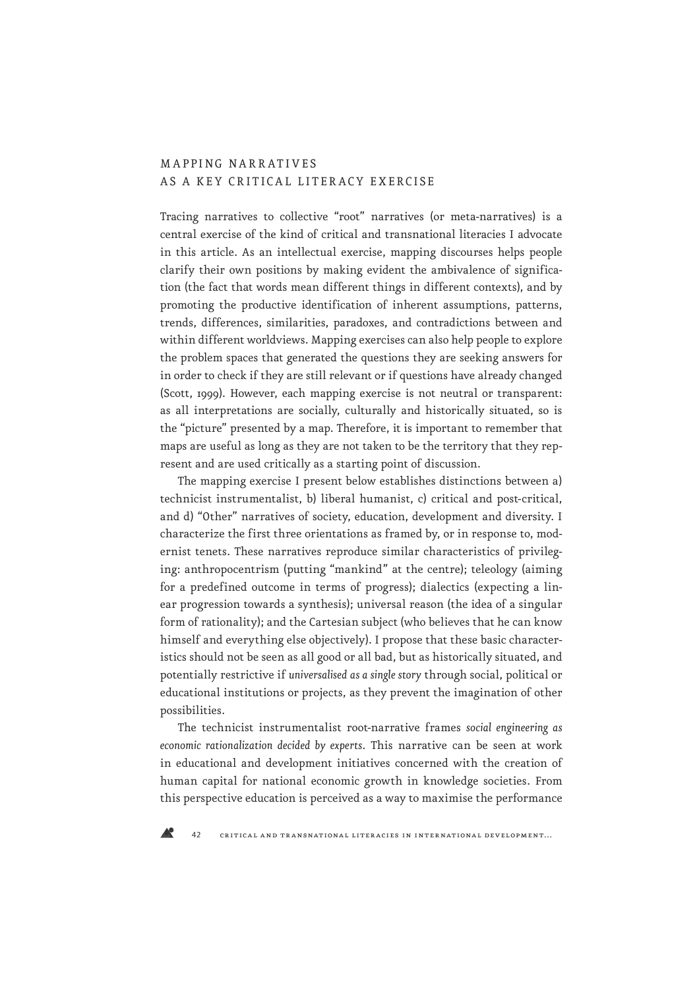## M A PPING NA R R ATIV ES AS A KEY CRITICAL LITERACY EXERCISE

Tracing narratives to collective "root" narratives (or meta-narratives) is a central exercise of the kind of critical and transnational literacies I advocate in this article. As an intellectual exercise, mapping discourses helps people clarify their own positions by making evident the ambivalence of signification (the fact that words mean different things in different contexts), and by promoting the productive identification of inherent assumptions, patterns, trends, differences, similarities, paradoxes, and contradictions between and within different worldviews. Mapping exercises can also help people to explore the problem spaces that generated the questions they are seeking answers for in order to check if they are still relevant or if questions have already changed (Scott, 1999). However, each mapping exercise is not neutral or transparent: as all interpretations are socially, culturally and historically situated, so is the "picture" presented by a map. Therefore, it is important to remember that maps are useful as long as they are not taken to be the territory that they represent and are used critically as a starting point of discussion.

The mapping exercise I present below establishes distinctions between a) technicist instrumentalist, b) liberal humanist, c) critical and post-critical, and d) "Other" narratives of society, education, development and diversity. I characterize the first three orientations as framed by, or in response to, modernist tenets. These narratives reproduce similar characteristics of privileging: anthropocentrism (putting "mankind" at the centre); teleology (aiming for a predefined outcome in terms of progress); dialectics (expecting a linear progression towards a synthesis); universal reason (the idea of a singular form of rationality); and the Cartesian subject (who believes that he can know himself and everything else objectively). I propose that these basic characteristics should not be seen as all good or all bad, but as historically situated, and potentially restrictive if *universalised as a single story* through social, political or educational institutions or projects, as they prevent the imagination of other possibilities.

The technicist instrumentalist root-narrative frames *social engineering as economic rationalization decided by experts*. This narrative can be seen at work in educational and development initiatives concerned with the creation of human capital for national economic growth in knowledge societies. From this perspective education is perceived as a way to maximise the performance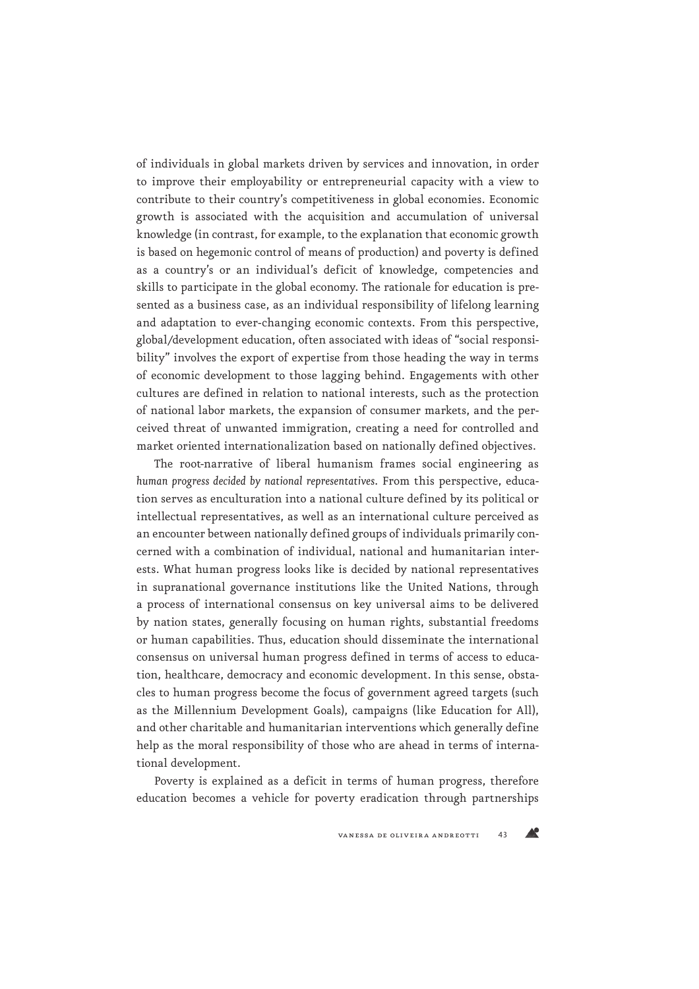of individuals in global markets driven by services and innovation, in order to improve their employability or entrepreneurial capacity with a view to contribute to their country's competitiveness in global economies. Economic growth is associated with the acquisition and accumulation of universal knowledge (in contrast, for example, to the explanation that economic growth is based on hegemonic control of means of production) and poverty is defined as a country's or an individual's deficit of knowledge, competencies and skills to participate in the global economy. The rationale for education is presented as a business case, as an individual responsibility of lifelong learning and adaptation to ever-changing economic contexts. From this perspective, global/development education, often associated with ideas of "social responsibility" involves the export of expertise from those heading the way in terms of economic development to those lagging behind. Engagements with other cultures are defined in relation to national interests, such as the protection of national labor markets, the expansion of consumer markets, and the perceived threat of unwanted immigration, creating a need for controlled and market oriented internationalization based on nationally defined objectives.

The root-narrative of liberal humanism frames social engineering as *human progress decided by national representatives*. From this perspective, education serves as enculturation into a national culture defined by its political or intellectual representatives, as well as an international culture perceived as an encounter between nationally defined groups of individuals primarily concerned with a combination of individual, national and humanitarian interests. What human progress looks like is decided by national representatives in supranational governance institutions like the United Nations, through a process of international consensus on key universal aims to be delivered by nation states, generally focusing on human rights, substantial freedoms or human capabilities. Thus, education should disseminate the international consensus on universal human progress defined in terms of access to education, healthcare, democracy and economic development. In this sense, obstacles to human progress become the focus of government agreed targets (such as the Millennium Development Goals), campaigns (like Education for All), and other charitable and humanitarian interventions which generally define help as the moral responsibility of those who are ahead in terms of international development.

Poverty is explained as a deficit in terms of human progress, therefore education becomes a vehicle for poverty eradication through partnerships

vanessa de oliveira andreotti 43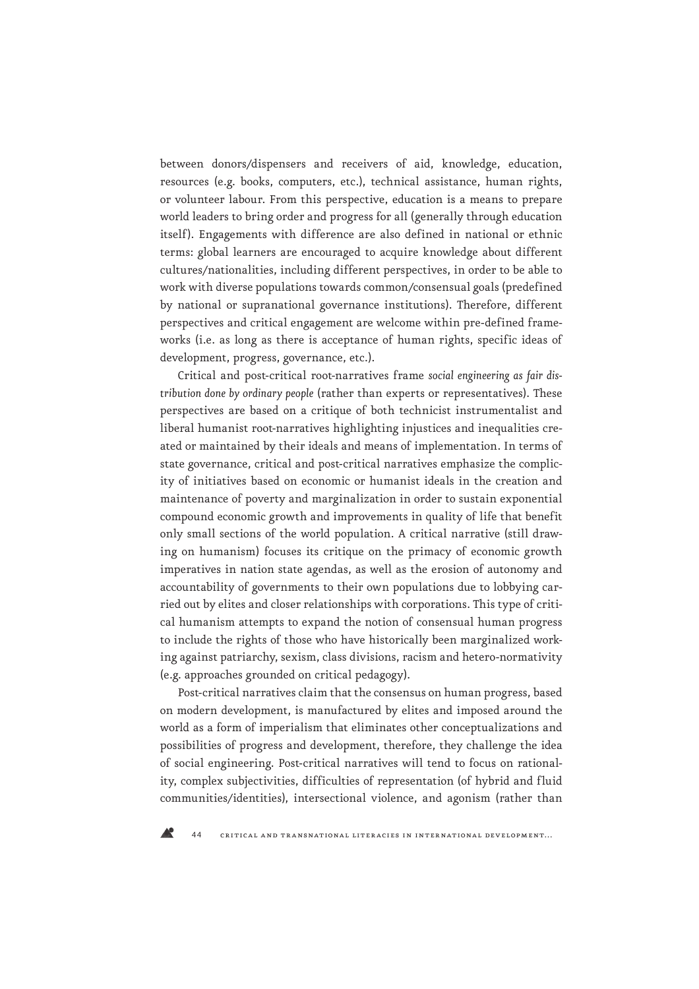between donors/dispensers and receivers of aid, knowledge, education, resources (e.g. books, computers, etc.), technical assistance, human rights, or volunteer labour. From this perspective, education is a means to prepare world leaders to bring order and progress for all (generally through education itself). Engagements with difference are also defined in national or ethnic terms: global learners are encouraged to acquire knowledge about different cultures/nationalities, including different perspectives, in order to be able to work with diverse populations towards common/consensual goals (predefined by national or supranational governance institutions). Therefore, different perspectives and critical engagement are welcome within pre-defined frameworks (i.e. as long as there is acceptance of human rights, specific ideas of development, progress, governance, etc.).

Critical and post-critical root-narratives frame *social engineering as fair distribution done by ordinary people* (rather than experts or representatives). These perspectives are based on a critique of both technicist instrumentalist and liberal humanist root-narratives highlighting injustices and inequalities created or maintained by their ideals and means of implementation. In terms of state governance, critical and post-critical narratives emphasize the complicity of initiatives based on economic or humanist ideals in the creation and maintenance of poverty and marginalization in order to sustain exponential compound economic growth and improvements in quality of life that benefit only small sections of the world population. A critical narrative (still drawing on humanism) focuses its critique on the primacy of economic growth imperatives in nation state agendas, as well as the erosion of autonomy and accountability of governments to their own populations due to lobbying carried out by elites and closer relationships with corporations. This type of critical humanism attempts to expand the notion of consensual human progress to include the rights of those who have historically been marginalized working against patriarchy, sexism, class divisions, racism and hetero-normativity (e.g. approaches grounded on critical pedagogy).

Post-critical narratives claim that the consensus on human progress, based on modern development, is manufactured by elites and imposed around the world as a form of imperialism that eliminates other conceptualizations and possibilities of progress and development, therefore, they challenge the idea of social engineering. Post-critical narratives will tend to focus on rationality, complex subjectivities, difficulties of representation (of hybrid and fluid communities/identities), intersectional violence, and agonism (rather than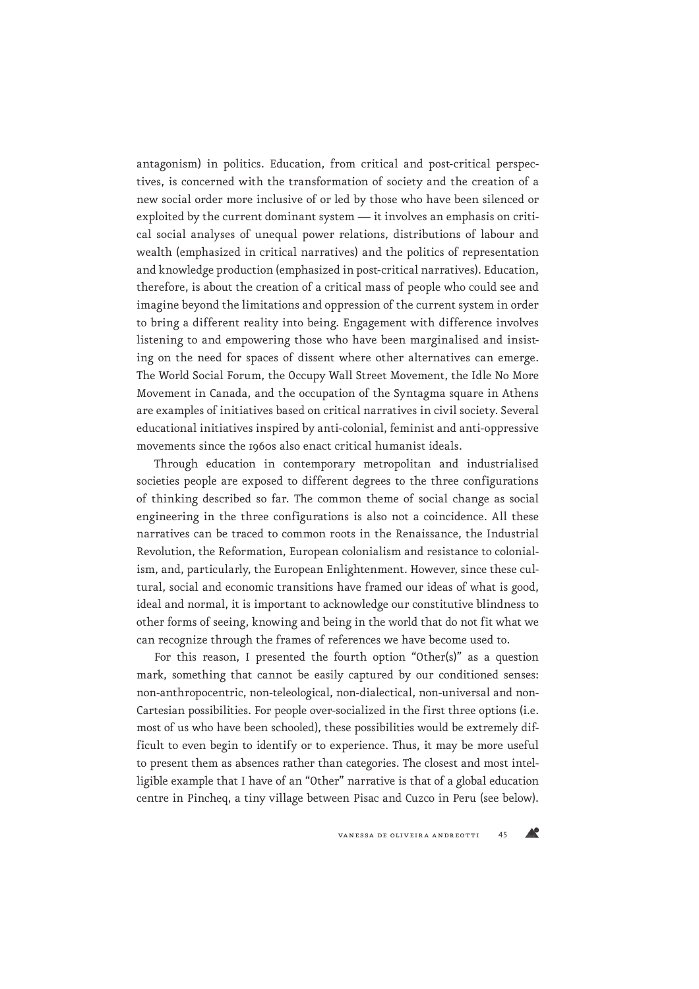antagonism) in politics. Education, from critical and post-critical perspectives, is concerned with the transformation of society and the creation of a new social order more inclusive of or led by those who have been silenced or exploited by the current dominant system — it involves an emphasis on critical social analyses of unequal power relations, distributions of labour and wealth (emphasized in critical narratives) and the politics of representation and knowledge production (emphasized in post-critical narratives). Education, therefore, is about the creation of a critical mass of people who could see and imagine beyond the limitations and oppression of the current system in order to bring a different reality into being. Engagement with difference involves listening to and empowering those who have been marginalised and insisting on the need for spaces of dissent where other alternatives can emerge. The World Social Forum, the Occupy Wall Street Movement, the Idle No More Movement in Canada, and the occupation of the Syntagma square in Athens are examples of initiatives based on critical narratives in civil society. Several educational initiatives inspired by anti-colonial, feminist and anti-oppressive movements since the 1960s also enact critical humanist ideals.

Through education in contemporary metropolitan and industrialised societies people are exposed to different degrees to the three configurations of thinking described so far. The common theme of social change as social engineering in the three configurations is also not a coincidence. All these narratives can be traced to common roots in the Renaissance, the Industrial Revolution, the Reformation, European colonialism and resistance to colonialism, and, particularly, the European Enlightenment. However, since these cultural, social and economic transitions have framed our ideas of what is good, ideal and normal, it is important to acknowledge our constitutive blindness to other forms of seeing, knowing and being in the world that do not fit what we can recognize through the frames of references we have become used to.

For this reason, I presented the fourth option "Other(s)" as a question mark, something that cannot be easily captured by our conditioned senses: non-anthropocentric, non-teleological, non-dialectical, non-universal and non-Cartesian possibilities. For people over-socialized in the first three options (i.e. most of us who have been schooled), these possibilities would be extremely difficult to even begin to identify or to experience. Thus, it may be more useful to present them as absences rather than categories. The closest and most intelligible example that I have of an "Other" narrative is that of a global education centre in Pincheq, a tiny village between Pisac and Cuzco in Peru (see below).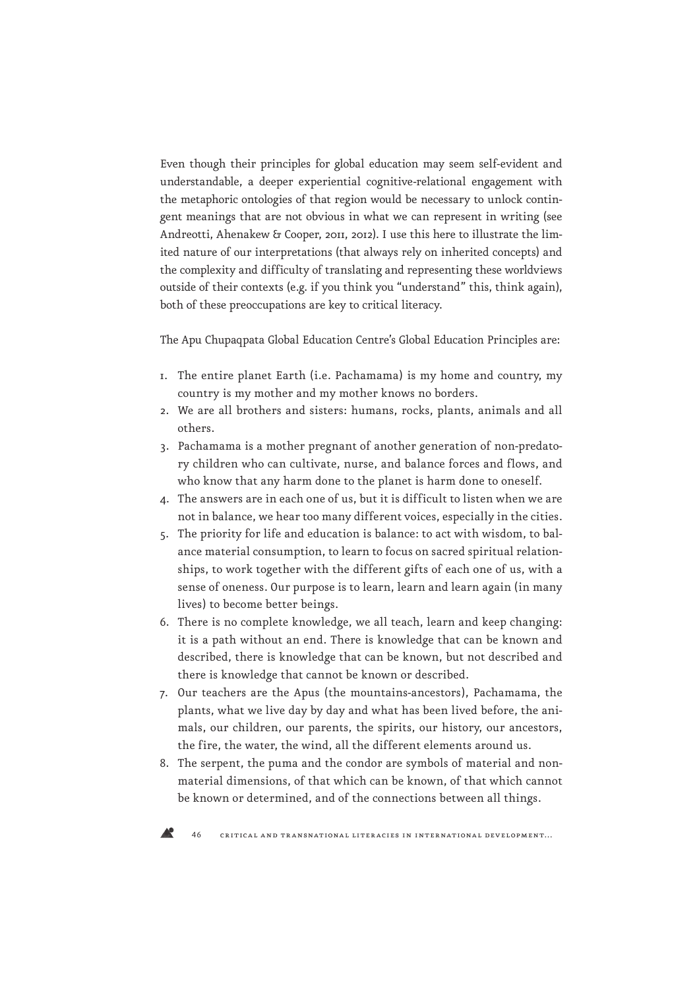Even though their principles for global education may seem self-evident and understandable, a deeper experiential cognitive-relational engagement with the metaphoric ontologies of that region would be necessary to unlock contingent meanings that are not obvious in what we can represent in writing (see Andreotti, Ahenakew & Cooper, 2011, 2012). I use this here to illustrate the limited nature of our interpretations (that always rely on inherited concepts) and the complexity and difficulty of translating and representing these worldviews outside of their contexts (e.g. if you think you "understand" this, think again), both of these preoccupations are key to critical literacy.

The Apu Chupaqpata Global Education Centre's Global Education Principles are:

- 1. The entire planet Earth (i.e. Pachamama) is my home and country, my country is my mother and my mother knows no borders.
- 2. We are all brothers and sisters: humans, rocks, plants, animals and all others.
- 3. Pachamama is a mother pregnant of another generation of non-predatory children who can cultivate, nurse, and balance forces and flows, and who know that any harm done to the planet is harm done to oneself.
- 4. The answers are in each one of us, but it is difficult to listen when we are not in balance, we hear too many different voices, especially in the cities.
- 5. The priority for life and education is balance: to act with wisdom, to balance material consumption, to learn to focus on sacred spiritual relationships, to work together with the different gifts of each one of us, with a sense of oneness. Our purpose is to learn, learn and learn again (in many lives) to become better beings.
- 6. There is no complete knowledge, we all teach, learn and keep changing: it is a path without an end. There is knowledge that can be known and described, there is knowledge that can be known, but not described and there is knowledge that cannot be known or described.
- 7. Our teachers are the Apus (the mountains-ancestors), Pachamama, the plants, what we live day by day and what has been lived before, the animals, our children, our parents, the spirits, our history, our ancestors, the fire, the water, the wind, all the different elements around us.
- 8. The serpent, the puma and the condor are symbols of material and nonmaterial dimensions, of that which can be known, of that which cannot be known or determined, and of the connections between all things.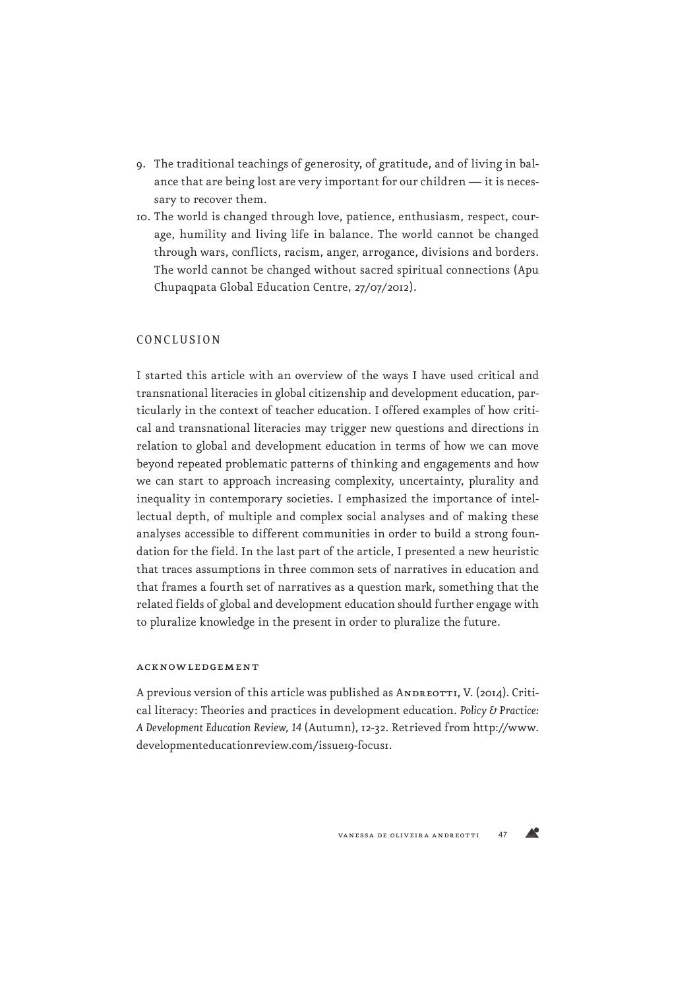- 9. The traditional teachings of generosity, of gratitude, and of living in balance that are being lost are very important for our children — it is necessary to recover them.
- 10. The world is changed through love, patience, enthusiasm, respect, courage, humility and living life in balance. The world cannot be changed through wars, conflicts, racism, anger, arrogance, divisions and borders. The world cannot be changed without sacred spiritual connections (Apu Chupaqpata Global Education Centre, 27/07/2012).

## CONCLUSION

I started this article with an overview of the ways I have used critical and transnational literacies in global citizenship and development education, particularly in the context of teacher education. I offered examples of how critical and transnational literacies may trigger new questions and directions in relation to global and development education in terms of how we can move beyond repeated problematic patterns of thinking and engagements and how we can start to approach increasing complexity, uncertainty, plurality and inequality in contemporary societies. I emphasized the importance of intellectual depth, of multiple and complex social analyses and of making these analyses accessible to different communities in order to build a strong foundation for the field. In the last part of the article, I presented a new heuristic that traces assumptions in three common sets of narratives in education and that frames a fourth set of narratives as a question mark, something that the related fields of global and development education should further engage with to pluralize knowledge in the present in order to pluralize the future.

#### acknowledgement

A previous version of this article was published as ANDREOTTI, V. (2014). Critical literacy: Theories and practices in development education. *Policy & Practice: A Development Education Review, 14* (Autumn), 12-32. Retrieved from http://www. developmenteducationreview.com/issue19-focus1.

 $\blacktriangle^{\circ}$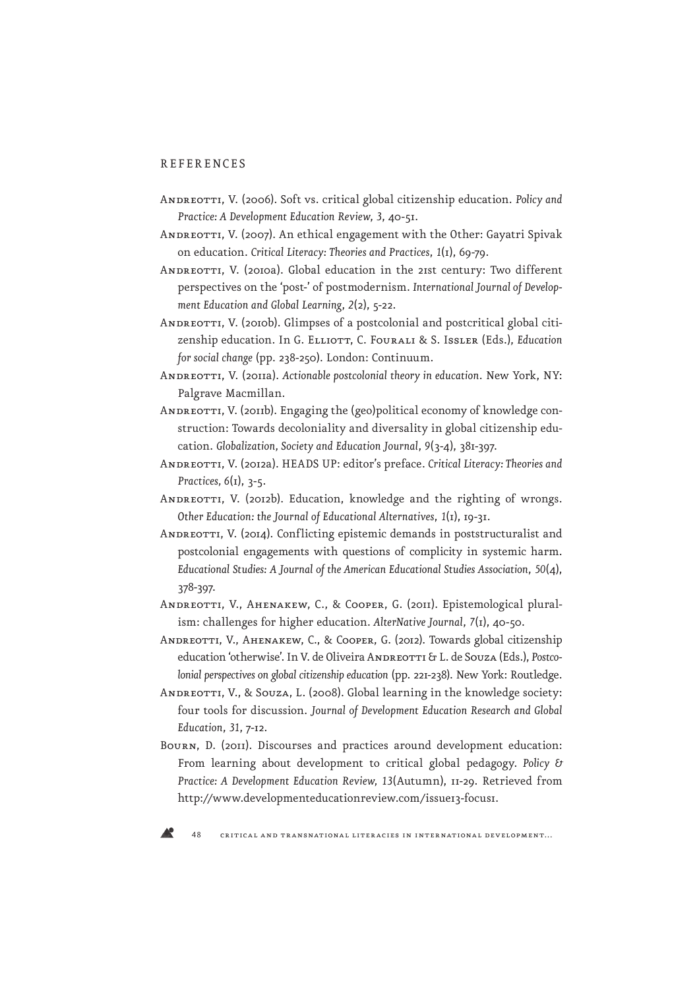#### REFERENCES

- Andreotti, V. (2006). Soft vs. critical global citizenship education. *Policy and Practice: A Development Education Review*, *3*, 40-51.
- ANDREOTTI, V. (2007). An ethical engagement with the Other: Gayatri Spivak on education. *Critical Literacy: Theories and Practices*, *1*(1), 69-79.
- ANDREOTTI, V. (2010a). Global education in the 21st century: Two different perspectives on the 'post-' of postmodernism. *International Journal of Development Education and Global Learning*, *2*(2), 5-22.
- ANDREOTTI, V. (2010b). Glimpses of a postcolonial and postcritical global citizenship education. In G. ELLIOTT, C. FOURALI & S. IssLER (Eds.), *Education for social change* (pp. 238-250). London: Continuum.
- Andreotti, V. (2011a). *Actionable postcolonial theory in education*. New York, NY: Palgrave Macmillan.
- ANDREOTTI, V. (2011b). Engaging the (geo)political economy of knowledge construction: Towards decoloniality and diversality in global citizenship education. *Globalization, Society and Education Journal*, *9*(3-4), 381-397.
- Andreotti, V. (2012a). HEADS UP: editor's preface. *Critical Literacy: Theories and Practices, 6*(1), 3-5.
- ANDREOTTI, V. (2012b). Education, knowledge and the righting of wrongs. *Other Education: the Journal of Educational Alternatives*, *1*(1), 19-31.
- ANDREOTTI, V. (2014). Conflicting epistemic demands in poststructuralist and postcolonial engagements with questions of complicity in systemic harm. *Educational Studies: A Journal of the American Educational Studies Association*, *50*(4), 378-397.
- ANDREOTTI, V., AHENAKEW, C., & COOPER, G. (2011). Epistemological pluralism: challenges for higher education. *AlterNative Journal*, *7*(1), 40-50.
- ANDREOTTI, V., AHENAKEW, C., & COOPER, G. (2012). Towards global citizenship education 'otherwise'. In V. de Oliveira Andreotti & L. de Souza (Eds.), *Postcolonial perspectives on global citizenship education* (pp. 221-238). New York: Routledge.
- ANDREOTTI, V., & SOUZA, L. (2008). Global learning in the knowledge society: four tools for discussion. *Journal of Development Education Research and Global Education*, *31*, 7-12.
- Bourn, D. (2011). Discourses and practices around development education: From learning about development to critical global pedagogy. *Policy & Practice: A Development Education Review, 13*(Autumn), 11-29. Retrieved from http://www.developmenteducationreview.com/issue13-focus1.

48 critical and transnational literacies in international development…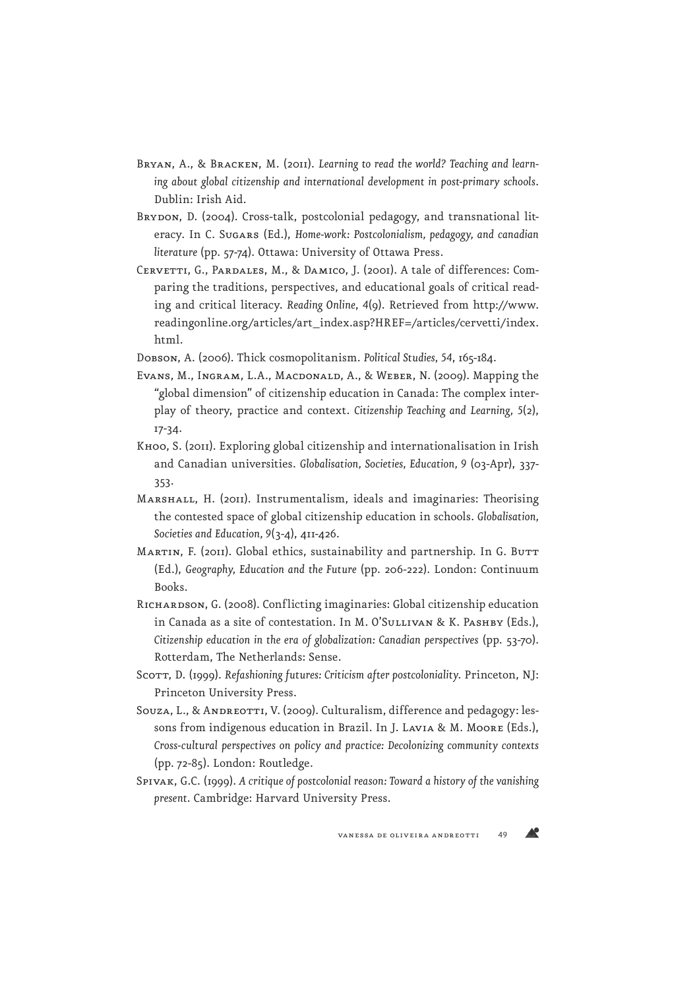- Bryan, A., & Bracken, M. (2011). *Learning to read the world? Teaching and learning about global citizenship and international development in post-primary schools*. Dublin: Irish Aid.
- BRYDON, D. (2004). Cross-talk, postcolonial pedagogy, and transnational literacy. In C. Sugars (Ed.), *Home-work: Postcolonialism, pedagogy, and canadian literature* (pp. 57-74). Ottawa: University of Ottawa Press.
- CERVETTI, G., PARDALES, M., & DAMICO, J. (2001). A tale of differences: Comparing the traditions, perspectives, and educational goals of critical reading and critical literacy. *Reading Online*, *4*(9). Retrieved from http://www. readingonline.org/articles/art\_index.asp?HREF=/articles/cervetti/index. html.
- Dobson, A. (2006). Thick cosmopolitanism. *Political Studies, 54*, 165-184.
- EVANS, M., INGRAM, L.A., MACDONALD, A., & WEBER, N. (2009). Mapping the "global dimension" of citizenship education in Canada: The complex interplay of theory, practice and context. *Citizenship Teaching and Learning, 5*(2), 17-34.
- Khoo, S. (2011). Exploring global citizenship and internationalisation in Irish and Canadian universities. *Globalisation, Societies, Education, 9* (03-Apr), 337- 353.
- Marshall, H. (2011). Instrumentalism, ideals and imaginaries: Theorising the contested space of global citizenship education in schools. *Globalisation, Societies and Education, 9*(3-4), 411-426.
- MARTIN, F. (2011). Global ethics, sustainability and partnership. In G. BUTT (Ed.), *Geography, Education and the Future* (pp. 206-222). London: Continuum Books.
- RICHARDSON, G. (2008). Conflicting imaginaries: Global citizenship education in Canada as a site of contestation. In M. O'SULLIVAN & K. РАSНВУ (Eds.), *Citizenship education in the era of globalization: Canadian perspectives* (pp. 53-70). Rotterdam, The Netherlands: Sense.
- SCOTT, D. (1999). *Refashioning futures: Criticism after postcoloniality*. Princeton, NJ: Princeton University Press.
- Souza, L., & ANDREOTTI, V. (2009). Culturalism, difference and pedagogy: lessons from indigenous education in Brazil. In J. Lavia & M. Moore (Eds.), *Cross-cultural perspectives on policy and practice: Decolonizing community contexts*  (pp. 72-85). London: Routledge.
- Spivak, G.C. (1999). *A critique of postcolonial reason: Toward a history of the vanishing present*. Cambridge: Harvard University Press.

vanessa de oliveira andreotti 49

 $\triangle^{\circ}$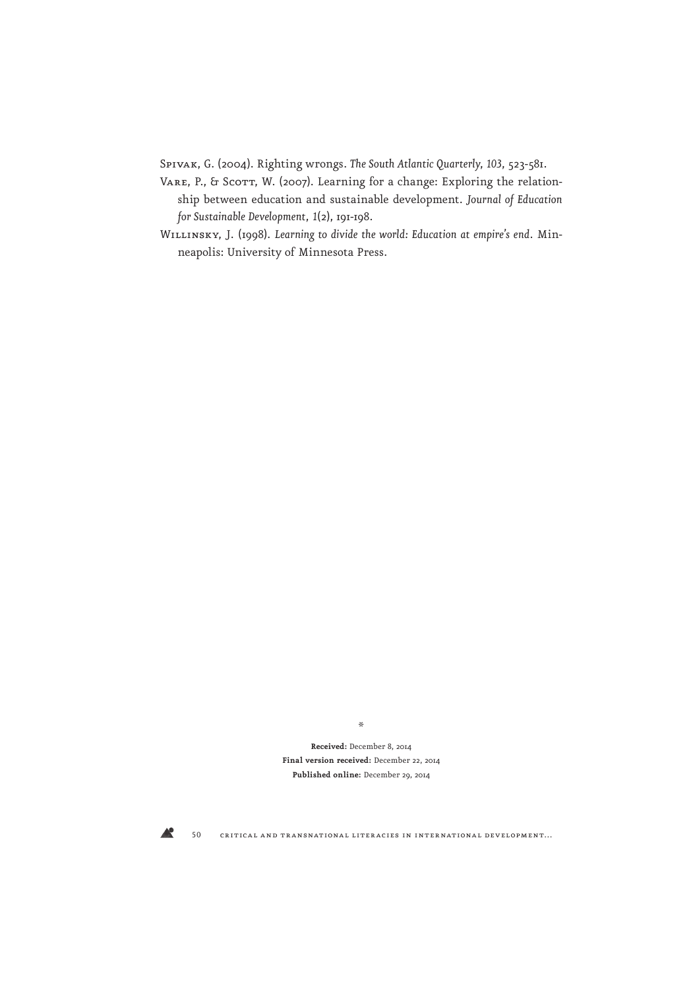Spivak, G. (2004). Righting wrongs. *The South Atlantic Quarterly*, *103*, 523-581.

- VARE, P., & SCOTT, W. (2007). Learning for a change: Exploring the relationship between education and sustainable development. *Journal of Education for Sustainable Development*, *1*(2), 191-198.
- Willinsky, J. (1998). *Learning to divide the world: Education at empire's end*. Minneapolis: University of Minnesota Press.

**Received:** December 8, 2014 **Final version received:** December 22, 2014 **Published online:** December 29, 2014

\*



50 critical and transnational literacies in international development…